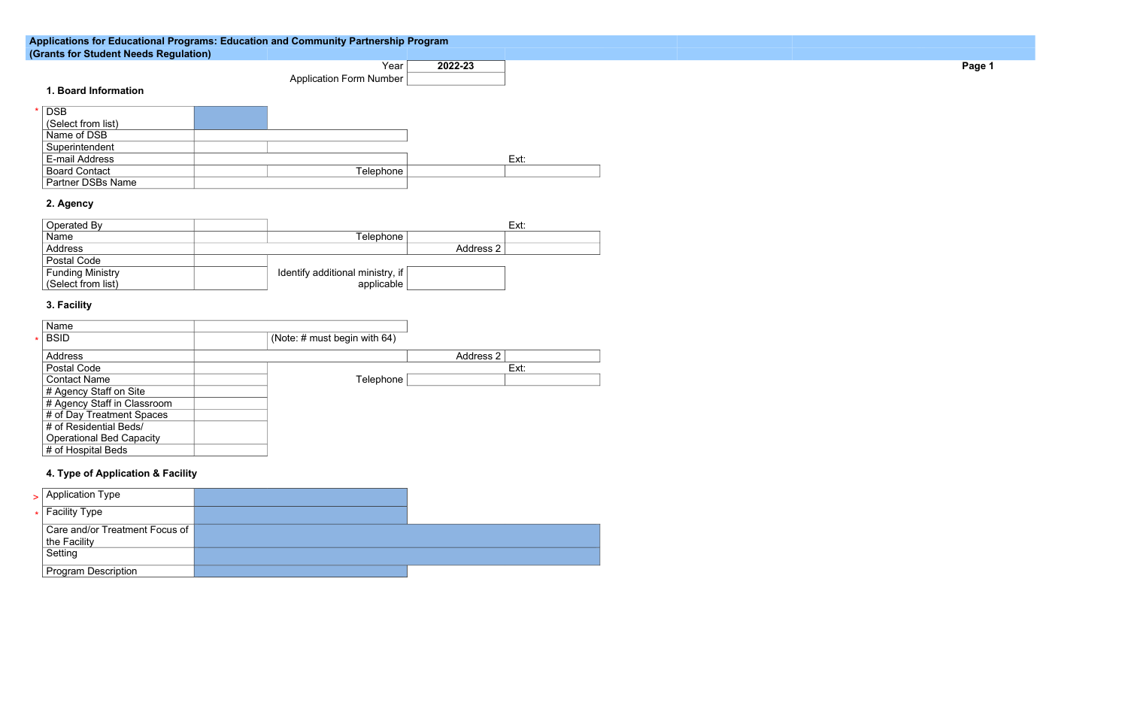#### **Applications for Educational Programs: Education and Community Partnership Program (Grants for Student Needs Regulation)**

Year **2022-23** Application Form Number

**-23 Page 1**

# **1. Board Information**

| DSB                      |           |      |
|--------------------------|-----------|------|
| (Select from list)       |           |      |
| Name of DSB              |           |      |
| Superintendent           |           |      |
| E-mail Address           |           | Ext: |
| <b>Board Contact</b>     | Telephone |      |
| <b>Partner DSBs Name</b> |           |      |

# **2. Agency**

| Operated By             |                                      |           | Ext: |
|-------------------------|--------------------------------------|-----------|------|
| <b>Name</b>             | Гelephone ∣                          |           |      |
| <b>Address</b>          |                                      | Address 2 |      |
| <b>Postal Code</b>      |                                      |           |      |
| <b>Funding Ministry</b> | Identify additional ministry, if $ $ |           |      |
| (Select from list)      | applicable                           |           |      |

| $\geq$ Application Type                        |  |
|------------------------------------------------|--|
| $\star$ Facility Type                          |  |
| Care and/or Treatment Focus of<br>the Facility |  |
| Setting                                        |  |
| <b>Program Description</b>                     |  |

### **3. Facility**

| <b>Name</b>                     |                                 |                  |      |
|---------------------------------|---------------------------------|------------------|------|
| <b>BSID</b>                     | (Note: $\#$ must begin with 64) |                  |      |
| <b>Address</b>                  |                                 | <b>Address 2</b> |      |
| <b>Postal Code</b>              |                                 |                  | Ext: |
| <b>Contact Name</b>             | Telephone                       |                  |      |
| # Agency Staff on Site          |                                 |                  |      |
| # Agency Staff in Classroom     |                                 |                  |      |
| # of Day Treatment Spaces       |                                 |                  |      |
| # of Residential Beds/          |                                 |                  |      |
| <b>Operational Bed Capacity</b> |                                 |                  |      |
| # of Hospital Beds              |                                 |                  |      |

# **4. Type of Application & Facility**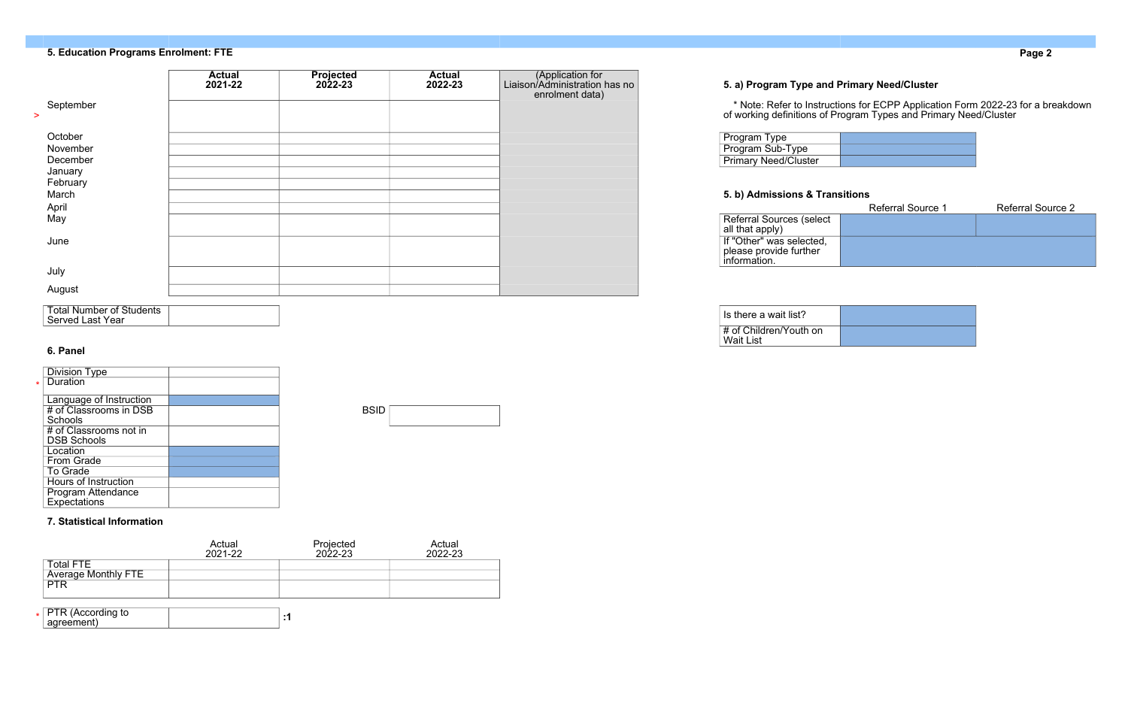# **5. Education Programs Enrolment: FTE Page 2**

# **5. a) Program Type and Primary Need/Cluster**

| Program Type                |  |
|-----------------------------|--|
| <b>Program Sub-Type</b>     |  |
| <b>Primary Need/Cluster</b> |  |

### **5. b) Admissions & Transitions**

| September                                  | <b>Actual</b><br>2021-22 | <b>Projected</b><br>$2022 - 23$ | <b>Actual</b><br>2022-23 | (Application for<br>Liaison/Administration has no<br>enrolment data) | 5. a) Program Type and Primary Need/Cluster<br>* Note: Refer to Instructions for ECPP Application Form 2022-23 for a breakdown<br>of working definitions of Program Types and Primary Need/Cluster |
|--------------------------------------------|--------------------------|---------------------------------|--------------------------|----------------------------------------------------------------------|----------------------------------------------------------------------------------------------------------------------------------------------------------------------------------------------------|
| October<br>November<br>December<br>January |                          |                                 |                          |                                                                      | <b>Program Type</b><br>Program Sub-Type<br><b>Primary Need/Cluster</b>                                                                                                                             |
| February<br>March<br>April                 |                          |                                 |                          |                                                                      | 5. b) Admissions & Transitions<br><b>Referral Source 1</b><br><b>Referral Source 2</b>                                                                                                             |
| May<br>June                                |                          |                                 |                          |                                                                      | <b>Referral Sources (select</b><br>all that apply)<br>If "Other" was selected,<br>please provide further                                                                                           |
| July<br>August                             |                          |                                 |                          |                                                                      | information.                                                                                                                                                                                       |
|                                            |                          |                                 |                          |                                                                      |                                                                                                                                                                                                    |

|                                                    | <b>Referral Source 1</b> | <b>Referral Source 2</b> |
|----------------------------------------------------|--------------------------|--------------------------|
| <b>Referral Sources (select</b><br>all that apply) |                          |                          |
|                                                    |                          |                          |
| If "Other" was selected,                           |                          |                          |
| please provide further                             |                          |                          |
| information.                                       |                          |                          |

| <b>Total Number of Students</b> |  |
|---------------------------------|--|
| <b>Served Last Year</b>         |  |
|                                 |  |

| I Is there a wait list?                 |  |
|-----------------------------------------|--|
| ∣ # of Children/Youth on<br>I Wait List |  |

### **6. Panel**

| <b>Division Type</b>        |                                                                     |
|-----------------------------|---------------------------------------------------------------------|
| Duration                    |                                                                     |
|                             |                                                                     |
| Language of Instruction     |                                                                     |
|                             |                                                                     |
| <b>Schools</b>              |                                                                     |
| # of Classrooms not in      |                                                                     |
| <b>DSB Schools</b>          |                                                                     |
| Location                    |                                                                     |
| <b>From Grade</b>           |                                                                     |
| <b>To Grade</b>             |                                                                     |
| <b>Hours of Instruction</b> |                                                                     |
|                             |                                                                     |
|                             |                                                                     |
|                             | # of Classrooms in DSB<br><b>Program Attendance</b><br>Expectations |

| <b>BSID</b> |  |
|-------------|--|
|             |  |

#### **7. Statistical Information**

|                                                | Actual<br>2021-22 | Projected<br>2022-23 | Actual<br>2022-23 |
|------------------------------------------------|-------------------|----------------------|-------------------|
| <b>Total FTE</b><br><b>Average Monthly FTE</b> |                   |                      |                   |
| <b>PTR</b>                                     |                   |                      |                   |
| $_{\star}$   PTR (According to<br>agreement)   |                   | :1                   |                   |